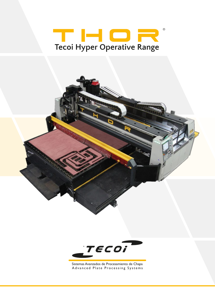# THOR® **Tecoi Hyper Operative Range**

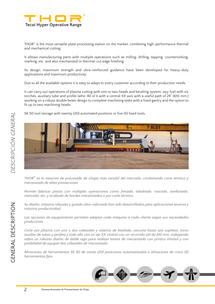

THOR® is the most versatile plate processing station on the market, combining high-performance thermal and mechanical cutting.

It allows manufacturing parts with multiple operations such as milling, drilling, tapping, countersinking, marking, etc. and also mechanized or thermal-cut edge finishing.

Its design, maximum strength and ultra-reinforced guidance have been developed for heavy-duty applications and maximum productivity.

Due to all the available options it is easy to adapt to every customer according to their production needs.

It can carry out operations of plasma cutting with one or two heads and beveling system, oxy-fuel with six torches, auxiliary tube and profile lathe. All of it with a central XX axis with a useful path of 24" (610 mm.) working on a robust double beam design to complete machining tasks with a fixed gantry and the option to fit up to two machining heads.



SK 50 tool storage with twenty (20) automated positions or five (5) fixed tools.

*THOR® es la estación de procesado de chapa más versátil del mercado, combinando corte térmico y mecanizado de altas prestaciones.* 

*Permite fabricar piezas con múltiples operaciones como fresado, taladrado, roscado, avellanado, marcado, etc. y acabado de bordes mecanizados o por corte térmico.*

*Su diseño, máxima robustez y guiado ultra-reforzado han sido desarrollados para aplicaciones severas y máxima productividad.*

*Las opciones de equipamiento permiten adaptar cada máquina a cada cliente según sus necesidades productivas.*

*Corte por plasma con uno o dos cabezales y sistema de biselado, oxicorte hasta seis sopletes, torno auxiliar de tubos y perfiles y todo ello con un eje XX central con un recorrido útil de 610 mm. trabajando sobre un robusto diseño de doble viga para realizar tareas de mecanizado con pórtico inmóvil y con posibilidad de equipar dos cabezales de mecanizado.*

*Almacenes de herramientas SK 50 de veinte (20) posiciones automatizados o almacenes de cinco (5) herramientas fijos.*

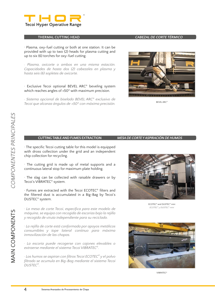

### **THERMAL CUTTING HEAD** *CABEZAL DE CORTE TÉRMICO*

. Plasma, oxy-fuel cutting or both at one station. It can be provided with up to two (2) heads for plasma cutting and up to six (6) torches for oxy-fuel cutting.

*. Plasma, oxicorte o ambos en una misma estación. Capacidades de hasta dos (2) cabezales en plasma y hasta seis (6) sopletes de oxicorte.*

. Exclusive Tecoi optional BEVEL ARC® beveling system which reaches angles of ±50° with maximum precision.

*. Sistema opcional de biselado BEVEL ARC® exclusivo de Tecoi que alcanza ángulos de ±50º con máxima precisión.*



BEVEL ARC®

### **CUTTING TABLE AND FUMES EXTRACTION** *MESA DE CORTE Y ASPIRACIÓN DE HUMOS*

. The specific Tecoi cutting table for this model is equipped with dross collection under the grid and an independent chip collection for recycling.

. The cutting grid is made up of metal supports and a continuous lateral stop for maximum plate holding.

Tecoi´s VIBRATEC® system.

the filtered dust is accumulated in a Big-Bag by Tecoi´s DUSTEC® system.



ECOTEC® and DUSTEC® mini *ECOTEC® y DUSTEC® mini*

COMPONENTES PRINCIPALES

*. La mesa de corte Tecoi, específica para este modelo de máquina, se equipa con recogida de escorias bajo la rejilla y recogida de viruta independiente para su reciclado.*

*. La rejilla de corte está conformada por apoyos metálicos consumibles y tope lateral continuo para máxima inmovilización de las chapas.*

*. La escoria puede recogerse con cajones elevables o extraerse mediante el sistema Tecoi VIBRATEC® .*

*. Los humos se aspiran con filtros Tecoi ECOTEC® y el polvo filtrado se acumula en Big-Bag mediante el sistema Tecoi DUSTEC® .*



**VIBRATEC®** 

. The slag can be collected with raisable drawers or by

. Fumes are extracted with the Tecoi ECOTEC® filters and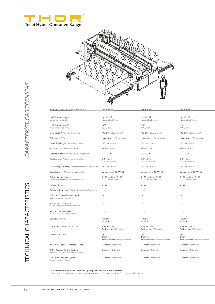



|                          | Standard Models / Modelos Estándar (1)                                                                                                                                               | <b>THOR 2500</b>                                                  | <b>THOR 3000</b>                                                  | <b>THOR 4000</b>                                     |
|--------------------------|--------------------------------------------------------------------------------------------------------------------------------------------------------------------------------------|-------------------------------------------------------------------|-------------------------------------------------------------------|------------------------------------------------------|
| CARACTERÍSTICAS TÉCNICAS | Useful cutting length<br>Longitud útil de corte                                                                                                                                      | Up to 279 ft<br>Hasta 85.000 mm.                                  | Up to 279 ft<br>Hasta 85.000 mm.                                  | Up to 279 ft<br>Hasta 85.000 mm.                     |
|                          | Useful cutting width*<br>Anchura útil de corte                                                                                                                                       | 100"<br>2.550 mm.                                                 | 120"<br>3.050 mm.                                                 | 159"<br>4.050 mm.                                    |
|                          | Max. speed / Velocidad máxima                                                                                                                                                        | 105 ft/min. (32 m/min)                                            | 105 ft/min. (32 m/min)                                            | 105 ft/min. (32 m/m                                  |
|                          | Guidance / Guiado                                                                                                                                                                    | Linear rollers / Lineal rodillos                                  | Linear rollers / Lineal rodillos                                  | Linear rollers / Linear                              |
|                          | Z-axis free height / Altura Eje Z libre                                                                                                                                              | $7.8^{\circ}$ (200 mm.)                                           | $7.8^{\circ}$ (200 mm.)                                           | $7.8^{\circ}$ (200 mm.)                              |
|                          | XX-axis path / Recorrido eje XX                                                                                                                                                      | 24" (610 mm.)                                                     | 24" (610 mm.)                                                     | 24" (610 mm.)                                        |
|                          | Tapping capacity / Capacidad de roscado                                                                                                                                              | $M4 < M39*$                                                       | $M4 < M39*$                                                       | $MA < M39*$                                          |
|                          | Tool diameter / Diámetro de taladros                                                                                                                                                 | 0.19'' < 3.15''<br>(5 mm. < 80 mm.)                               | 0.19" < 3.15"<br>(5 mm. < 80 mm.)                                 | $0.19'' \times 3.15''$<br>(5 mm. < 80 mm.)           |
|                          | Max. drilling thickness / Espesor máximo de taladrado                                                                                                                                | 7.8" (200 mm.)                                                    | 7.8" (200 mm.)                                                    | 7.8" (200 mm.)                                       |
|                          | Spindle power / Potencia del Spindle                                                                                                                                                 | Up to / Hasta 45 kW (S3)                                          | Up to / Hasta 45 kW (S3)                                          | Up to / Hasta 45 kW                                  |
|                          | Automatic tool changer<br>Cambio automático de herramienta                                                                                                                           | 5 < 20 positions SK 50<br>5 < 20 posiciones SK 50                 | 5 < 20 positions SK 50<br>5 < 20 posiciones SK 50                 | 5 < 20 positions SK<br>5 < 20 posiciones SI          |
|                          | Holder / Cono                                                                                                                                                                        | <b>SK 50</b>                                                      | <b>SK 50</b>                                                      | <b>SK 50</b>                                         |
|                          | Plasma cutting heads / N° de Cabezales de plasma                                                                                                                                     | $1 - 2$                                                           | $1 - 2$                                                           | $1 - 2$                                              |
|                          | BEVEL ARC® Bevel cutting heads<br>Cabezal de corte en bisel                                                                                                                          | $1 - 2$                                                           | $1 - 2$                                                           | $1 - 2$                                              |
|                          | Machining cutting heads<br>Nº de cabezales de mecanizado                                                                                                                             | $1 - 2$                                                           | $1 - 2$                                                           | $1 - 2$                                              |
|                          | Oxy-fuel cutting heads<br>Nº de cabezales de oxicorte                                                                                                                                | $1 - 6$                                                           | $1 - 6$                                                           | $1 - 6$                                              |
|                          | Control / Control                                                                                                                                                                    | Fanuc™<br>series 31 i                                             | Fanuc™<br>series 31 i                                             | Fanuc™<br>series 31 i                                |
| CHARACTERISTIC           | Communication / Comunicación                                                                                                                                                         | Ethernet, USB<br>Optical fiber / Fibra óptica                     | Ethernet, USB<br>Optical fiber / Fibra óptica                     | Ethernet, USB<br>Optical fiber / Fibra               |
| $\overline{A}$           | Motors / Motores                                                                                                                                                                     | Fanuc™<br><b>Brushless</b><br>Absolute encoder / Encoder absoluto | Fanuc™<br><b>Brushless</b><br>Absolute encoder / Encoder absoluto | Fanuc™<br><b>Brushless</b><br>Absolute encoder / Enc |
|                          | IMZ® (Intelligent Movement Z-axis)                                                                                                                                                   | Standard / Estándar                                               | Standard / Estándar                                               | Standard / Estánda                                   |
| TECHN                    | SPC® (Piercing Control System)<br>Sistema de Control de Perforaciones                                                                                                                | Standard / Estándar                                               | Standard / Estándar                                               | Standard / Estánda                                   |
|                          | SAC <sup>®</sup> (Anti-collision System)<br>Sistema Anti-Colisión                                                                                                                    | Standard / Estándar                                               | Standard / Estándar                                               | Standard / Estánda                                   |
|                          | (1) The technical data may be modified upon specific request by the customer.<br>Los datos técnicos podrían estar sujetos a cambios bajo solicitud específica por parte del cliente. |                                                                   |                                                                   |                                                      |

Max. speed / *Velocidad máxima* 105 ft/min. *(32 m/min)* 105 ft/min. *(32 m/min)* 105 ft/min. *(32 m/min)*

Guidance / *Guiado* Linear rollers / *Lineal rodillos* Linear rollers / *Lineal rodillos* Linear rollers / *Lineal rodillos*

Spindle power / *Potencia del Spindle* Up to / *Hasta* 45 kW (S3) Up to / *Hasta* 45 kW (S3) Up to / *Hasta* 45 kW (S3)

5 < 20 positions SK 50 *Cambio automático de herramienta 5 < 20 posiciones SK 50 5 < 20 posiciones SK 50 5 < 20 posiciones SK 50*

Optical fiber / *Fibra óptica* Optical fiber / *Fibra óptica* Optical fiber / *Fibra óptica*

Absolute encoder / *Encoder absoluto* Absolute encoder / *Encoder absoluto* Absolute encoder / *Encoder absoluto*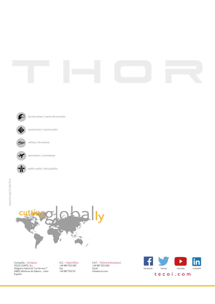



**public works / obra pública** 



Compañía - Company TECOI CORTE, S.L. Polígono Industrial "La Herrera I" 24812 Sahelices de Sabero - León España

O.C. - Head Office +34 987 702 047 Fax +34 987 703 131

S.A.T. - Technical Assistance +34 987 703 092 Email info@tecoi.com

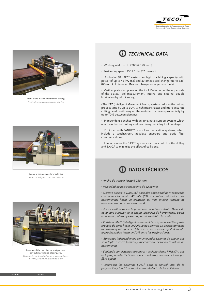



Front of the machine for thermal cutting *Frente de máquina para corte térmico*



Center of the machine for machining *Centro de máquina para mecanizado*



Rear area of the machine for multiple uses: oxy cutting, welding, blasting, etc. *Zona posterior de máquina para usos múltiples: oxicorte, soldadura, granallado, etc.*



### *TECHNICAL DATA*

- . Working width up to 238" (6.050 mm.).
- . Positioning speed 105 ft/min. (32 m/min.).

. Exclusive DRILTEC® system for high machining capacity with power of up to 45 kW (S3) and automatic tool changer up to 3.15" (80 mm.) of diameter. (Manual change for larger size tools).

. Vertical plate clamp around the tool. Detection of the upper side of the plates. Tool measurement. Internal and external double lubrication by oil micro fog.

· The IMZ (Intelligent Movement Z-axis) system reduces the cutting process time by up to 30%, which means faster and more accurate cutting head positioning on the material. Increases productivity by up to 70% between piercings.

. Independent benches with an innovative support system which adapts to thermal cutting and machining, avoiding tool breakage.

. Equipped with FANUC™ control and activation systems, which include a touchscreen, absolute encoders and optic fiber communications.

. It incorporates the S.P.C.® systems for total control of the drilling and S.A.C.® to minimize the effect of collisions.

## **CD** DATOS TÉCNICOS

- *. Ancho de trabajo hasta 6.050 mm.*
- *. Velocidad de posicionamiento de 32 m/min.*

*. Sistema exclusivo DRILTEC® para alta capacidad de mecanizado con potencias hasta 45 kW (S3) y cambio automático de herramientas hasta un diámetro 80 mm. (Mayor tamaño de herramientas con cambio manual).*

*. Presor vertical de la chapa entorno a la herramienta. Detección de la cara superior de la chapa. Medición de herramienta. Doble lubricación, interna y externa por micro niebla de aceite.*

*. El sistema IMZ® (Intelligent movement Z-axis) reduce el tiempo de proceso de corte hasta un 30%, lo que permite un posicionamiento más rápido y más preciso del cabezal de corte en el eje Z. Aumenta la productividad hasta un 70% entre las perforaciones.* 

*. Bancadas independientes con innovador sistema de apoyo que se adapta a corte térmico y mecanizado, evitando la rotura de herramienta.* 

*. Equipada con sistemas de control y accionamiento FANUC™ , que incluyen pantalla táctil, encoders absolutos y comunicaciones por fibra óptica.* 

*. Incorpora los sistemas S.P.C.® para el control total de la perforación y S.A.C.® para minimizar el efecto de las colisiones.*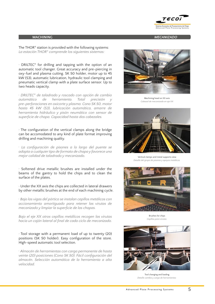

### **MACHINING** *MECANIZADO*

The THOR® station is provided with the following systems: *La estación THOR® comprende los siguientes sistemas:*

. DRILTEC® for drilling and tapping with the option of an automatic tool changer. Great accuracy and pre-piercing in oxy-fuel and plasma cutting. SK 50 holder, motor up to 45 kW (S3), automatic lubrication, hydraulic tool clamping and pneumatic vertical clamp with a plate surface sensor. Up to two heads capacity.

*. DRILTEC® de taladrado y roscado con opción de cambio automático de herramienta. Total precisión y pre-perforaciones en oxicorte y plasma. Cono SK 50, motor hasta 45 kW (S3), lubricación automática, amarre de herramienta hidráulico y pisón neumático con sensor de superficie de chapa. Capacidad hasta dos cabezales.*

. The configuration of the vertical clamps along the bridge can be accomodated to any kind of plate format improving drilling and machining quality.

*. La configuración de pisones a lo largo del puente se adapta a cualquier tipo de formato de chapa y favorece una mejor calidad de taladrado y mecanizado.*

. Softened drive metallic brushes are installed under the beams of the gantry to hold the chips and to clean the surface of the plates.

· Under the XX axis the chips are collected in lateral drawers by other metallic brushes at the end of each machining cycle.

*. Bajo las vigas del pórtico se instalan cepillos metálicos con accionamiento amortiguado para retener las virutas de mecanizado y limpiar la superficie de las chapas.*

*Bajo el eje XX otros cepillos metálicos recogen las virutas hacia un cajón lateral al final de cada ciclo de mecanizado.*

. Tool storage with a permanent load of up to twenty (20) positions (SK 50 holder). Easy configuration of the store. High-speed automatic tool selection.

*. Almacén de herramientas con carga permanente de hasta veinte (20) posiciones (Cono SK 50). Fácil configuración del almacén. Selección automática de la herramienta a alta velocidad.*



Machining head on XX axis *Cabezal de mecanizado en eje XX*



Vertical clamps and metal supports view *Detalle del grupo de pisones y apoyos metálicos* 



Brushes for chips *Cepillos para virutas*



Tool changing and loading *Detalle cambio y carga de herramientas*